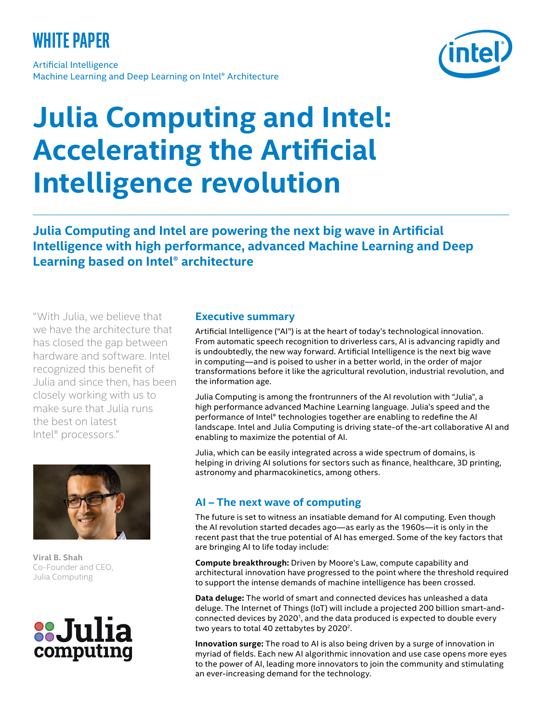# **white paper**

Artificial Intelligence Machine Learning and Deep Learning on Intel® Architecture



# **Julia Computing and Intel: Accelerating the Artificial Intelligence revolution**

**Julia Computing and Intel are powering the next big wave in Artificial Intelligence with high performance, advanced Machine Learning and Deep Learning based on Intel® architecture**

"With Julia, we believe that we have the architecture that has closed the gap between hardware and software. Intel recognized this benefit of Julia and since then, has been closely working with us to make sure that Julia runs the best on latest Intel® processors."



**Viral B. Shah** Co-Founder and CEO, Julia Computing



#### **Executive summary**

Artificial Intelligence ("AI") is at the heart of today's technological innovation. From automatic speech recognition to driverless cars, AI is advancing rapidly and is undoubtedly, the new way forward. Artificial Intelligence is the next big wave in computing—and is poised to usher in a better world, in the order of major transformations before it like the agricultural revolution, industrial revolution, and the information age.

Julia Computing is among the frontrunners of the AI revolution with "Julia", a high performance advanced Machine Learning language. Julia's speed and the performance of Intel® technologies together are enabling to redefine the AI landscape. Intel and Julia Computing is driving state-of the-art collaborative AI and enabling to maximize the potential of AI.

Julia, which can be easily integrated across a wide spectrum of domains, is helping in driving AI solutions for sectors such as finance, healthcare, 3D printing, astronomy and pharmacokinetics, among others.

# **AI – The next wave of computing**

The future is set to witness an insatiable demand for AI computing. Even though the AI revolution started decades ago—as early as the 1960s—it is only in the recent past that the true potential of AI has emerged. Some of the key factors that are bringing AI to life today include:

**Compute breakthrough:** Driven by Moore's Law, compute capability and architectural innovation have progressed to the point where the threshold required to support the intense demands of machine intelligence has been crossed.

**Data deluge:** The world of smart and connected devices has unleashed a data deluge. The Internet of Things (IoT) will include a projected 200 billion smart-andconnected devices by 2020<sup>1</sup>, and the data produced is expected to double every two years to total 40 zettabytes by 2020<sup>2</sup>.

**Innovation surge:** The road to AI is also being driven by a surge of innovation in myriad of fields. Each new AI algorithmic innovation and use case opens more eyes to the power of AI, leading more innovators to join the community and stimulating an ever-increasing demand for the technology.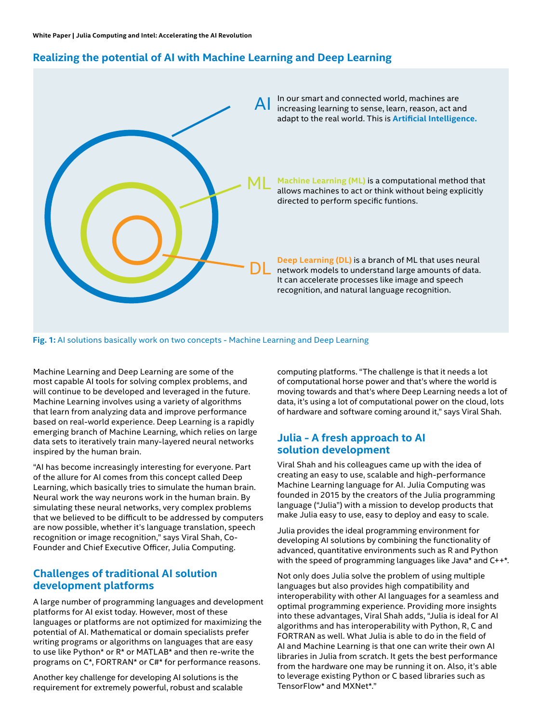# **Realizing the potential of AI with Machine Learning and Deep Learning**



Machine Learning and Deep Learning are some of the most capable AI tools for solving complex problems, and will continue to be developed and leveraged in the future. Machine Learning involves using a variety of algorithms that learn from analyzing data and improve performance based on real-world experience. Deep Learning is a rapidly emerging branch of Machine Learning, which relies on large data sets to iteratively train many-layered neural networks inspired by the human brain.

"AI has become increasingly interesting for everyone. Part of the allure for AI comes from this concept called Deep Learning, which basically tries to simulate the human brain. Neural work the way neurons work in the human brain. By simulating these neural networks, very complex problems that we believed to be difficult to be addressed by computers are now possible, whether it's language translation, speech recognition or image recognition," says Viral Shah, Co-Founder and Chief Executive Officer, Julia Computing.

#### **Challenges of traditional AI solution development platforms**

A large number of programming languages and development platforms for AI exist today. However, most of these languages or platforms are not optimized for maximizing the potential of AI. Mathematical or domain specialists prefer writing programs or algorithms on languages that are easy to use like Python\* or R\* or MATLAB\* and then re-write the programs on C\*, FORTRAN\* or C#\* for performance reasons.

Another key challenge for developing AI solutions is the requirement for extremely powerful, robust and scalable computing platforms. "The challenge is that it needs a lot of computational horse power and that's where the world is moving towards and that's where Deep Learning needs a lot of data, it's using a lot of computational power on the cloud, lots of hardware and software coming around it," says Viral Shah.

#### **Julia - A fresh approach to AI solution development**

Viral Shah and his colleagues came up with the idea of creating an easy to use, scalable and high-performance Machine Learning language for AI. Julia Computing was founded in 2015 by the creators of the Julia programming language ("Julia") with a mission to develop products that make Julia easy to use, easy to deploy and easy to scale.

Julia provides the ideal programming environment for developing AI solutions by combining the functionality of advanced, quantitative environments such as R and Python with the speed of programming languages like Java\* and C++\*.

Not only does Julia solve the problem of using multiple languages but also provides high compatibility and interoperability with other AI languages for a seamless and optimal programming experience. Providing more insights into these advantages, Viral Shah adds, "Julia is ideal for AI algorithms and has interoperability with Python, R, C and FORTRAN as well. What Julia is able to do in the field of AI and Machine Learning is that one can write their own AI libraries in Julia from scratch. It gets the best performance from the hardware one may be running it on. Also, it's able to leverage existing Python or C based libraries such as TensorFlow\* and MXNet\*."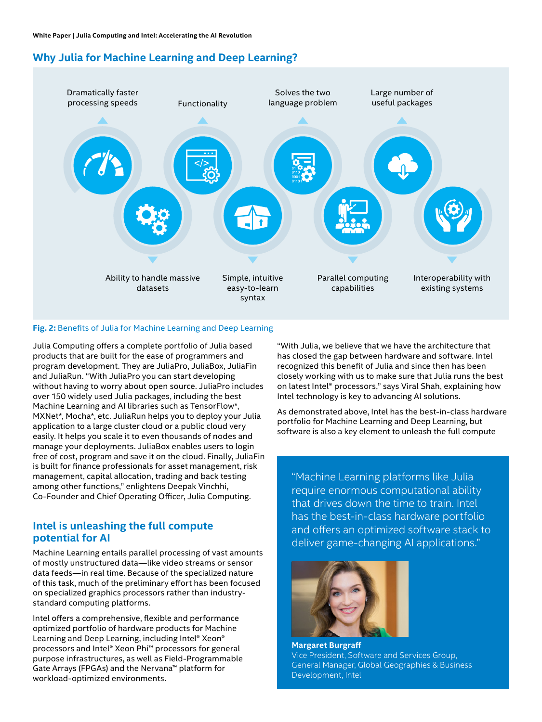# **Why Julia for Machine Learning and Deep Learning?**



#### **Fig. 2:** Benefits of Julia for Machine Learning and Deep Learning

Julia Computing offers a complete portfolio of Julia based products that are built for the ease of programmers and program development. They are JuliaPro, JuliaBox, JuliaFin and JuliaRun. "With JuliaPro you can start developing without having to worry about open source. JuliaPro includes over 150 widely used Julia packages, including the best Machine Learning and AI libraries such as TensorFlow\*, MXNet\*, Mocha\*, etc. JuliaRun helps you to deploy your Julia application to a large cluster cloud or a public cloud very easily. It helps you scale it to even thousands of nodes and manage your deployments. JuliaBox enables users to login free of cost, program and save it on the cloud. Finally, JuliaFin is built for finance professionals for asset management, risk management, capital allocation, trading and back testing among other functions," enlightens Deepak Vinchhi, Co-Founder and Chief Operating Officer, Julia Computing.

#### **Intel is unleashing the full compute potential for AI**

Machine Learning entails parallel processing of vast amounts of mostly unstructured data—like video streams or sensor data feeds—in real time. Because of the specialized nature of this task, much of the preliminary effort has been focused on specialized graphics processors rather than industrystandard computing platforms.

Intel offers a comprehensive, flexible and performance optimized portfolio of hardware products for Machine Learning and Deep Learning, including Intel® Xeon® processors and Intel® Xeon Phi™ processors for general purpose infrastructures, as well as Field-Programmable Gate Arrays (FPGAs) and the Nervana™ platform for workload-optimized environments.

"With Julia, we believe that we have the architecture that has closed the gap between hardware and software. Intel recognized this benefit of Julia and since then has been closely working with us to make sure that Julia runs the best on latest Intel® processors," says Viral Shah, explaining how Intel technology is key to advancing AI solutions.

As demonstrated above, Intel has the best-in-class hardware portfolio for Machine Learning and Deep Learning, but software is also a key element to unleash the full compute

"Machine Learning platforms like Julia require enormous computational ability that drives down the time to train. Intel has the best-in-class hardware portfolio and offers an optimized software stack to deliver game-changing AI applications."



**Margaret Burgraff** Vice President, Software and Services Group, General Manager, Global Geographies & Business Development, Intel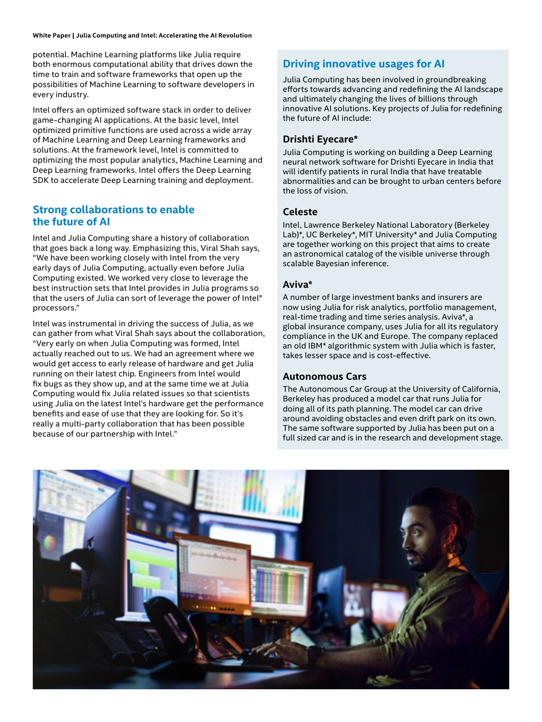#### **White Paper | Julia Computing and Intel: Accelerating the AI Revolution**

potential. Machine Learning platforms like Julia require both enormous computational ability that drives down the time to train and software frameworks that open up the possibilities of Machine Learning to software developers in every industry.

Intel offers an optimized software stack in order to deliver game-changing AI applications. At the basic level, Intel optimized primitive functions are used across a wide array of Machine Learning and Deep Learning frameworks and solutions. At the framework level, Intel is committed to optimizing the most popular analytics, Machine Learning and Deep Learning frameworks. Intel offers the Deep Learning SDK to accelerate Deep Learning training and deployment.

#### **Strong collaborations to enable the future of AI**

Intel and Julia Computing share a history of collaboration that goes back a long way. Emphasizing this, Viral Shah says, "We have been working closely with Intel from the very early days of Julia Computing, actually even before Julia Computing existed. We worked very close to leverage the best instruction sets that Intel provides in Julia programs so that the users of Julia can sort of leverage the power of Intel® processors."

Intel was instrumental in driving the success of Julia, as we can gather from what Viral Shah says about the collaboration, "Very early on when Julia Computing was formed, Intel actually reached out to us. We had an agreement where we would get access to early release of hardware and get Julia running on their latest chip. Engineers from Intel would fix bugs as they show up, and at the same time we at Julia Computing would fix Julia related issues so that scientists using Julia on the latest Intel's hardware get the performance benefits and ease of use that they are looking for. So it's really a multi-party collaboration that has been possible because of our partnership with Intel."

### **Driving innovative usages for AI**

Julia Computing has been involved in groundbreaking efforts towards advancing and redefining the AI landscape and ultimately changing the lives of billions through innovative AI solutions. Key projects of Julia for redefining the future of AI include:

#### **Drishti Eyecare\***

Julia Computing is working on building a Deep Learning neural network software for Drishti Eyecare in India that will identify patients in rural India that have treatable abnormalities and can be brought to urban centers before the loss of vision.

#### **Celeste**

Intel, Lawrence Berkeley National Laboratory (Berkeley Lab)\*, UC Berkeley\*, MIT University\* and Julia Computing are together working on this project that aims to create an astronomical catalog of the visible universe through scalable Bayesian inference.

#### **Aviva\***

A number of large investment banks and insurers are now using Julia for risk analytics, portfolio management, real-time trading and time series analysis. Aviva\*, a global insurance company, uses Julia for all its regulatory compliance in the UK and Europe. The company replaced an old IBM\* algorithmic system with Julia which is faster, takes lesser space and is cost-effective.

#### **Autonomous Cars**

The Autonomous Car Group at the University of California, Berkeley has produced a model car that runs Julia for doing all of its path planning. The model car can drive around avoiding obstacles and even drift park on its own. The same software supported by Julia has been put on a full sized car and is in the research and development stage.